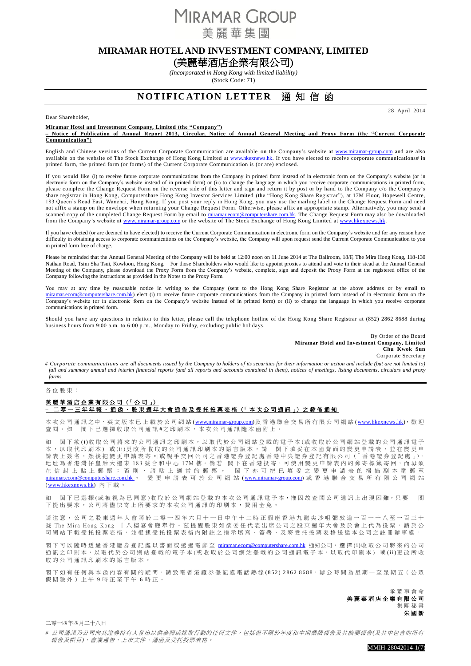**MIRAMAR GROUP** 美麗華集團

# **MIRAMAR HOTEL AND INVESTMENT COMPANY, LIMITED**

# (美麗華酒店企業有限公司)

*(Incorporated in Hong Kong with limited liability)* (Stock Code: 71)

# **NOTIFICATION LETTER** 通知信函

28 April 2014

Dear Shareholder,

#### **Miramar Hotel and Investment Company, Limited (the "Company")**

**– Notice of Publication of Annual Report 2013, Circular, Notice of Annual General Meeting and Proxy Form (the "Current Corporate Communication")**

English and Chinese versions of the Current Corporate Communication are available on the Company's website at [www.miramar-group.com](http://www.miramar-group.com/) and are also available on the website of The Stock Exchange of Hong Kong Limited at [www.hkexnews.hk.](http://www.hkexnews.hk/) If you have elected to receive corporate communications# in printed form, the printed form (or forms) of the Current Corporate Communication is (or are) enclosed.

If you would like (i) to receive future corporate communications from the Company in printed form instead of in electronic form on the Company's website (or in electronic form on the Company's website instead of in printed form) or (ii) to change the language in which you receive corporate communications in printed form, please complete the Change Request Form on the reverse side of this letter and sign and return it by post or by hand to the Company c/o the Company's share registrar in Hong Kong, Computershare Hong Kong Investor Services Limited (the "Hong Kong Share Registrar"), at 17M Floor, Hopewell Centre, 183 Queen's Road East, Wanchai, Hong Kong. If you post your reply in Hong Kong, you may use the mailing label in the Change Request Form and need not affix a stamp on the envelope when returning your Change Request Form. Otherwise, please affix an appropriate stamp. Alternatively, you may send a scanned copy of the completed Change Request Form by email to [miramar.ecom@computershare.com.hk.](mailto:miramar.ecom@computershare.com.hk) The Change Request Form may also be downloaded from the Company's website at [www.miramar-group.com](http://www.miramar-group.com/) or the website of The Stock Exchange of Hong Kong Limited at www.hkexn

If you have elected (or are deemed to have elected) to receive the Current Corporate Communication in electronic form on the Company's website and for any reason have difficulty in obtaining access to corporate communications on the Company's website, the Company will upon request send the Current Corporate Communication to you in printed form free of charge.

Please be reminded that the Annual General Meeting of the Company will be held at 12:00 noon on 11 June 2014 at The Ballroom, 18/F, The Mira Hong Kong, 118-130 Nathan Road, Tsim Sha Tsui, Kowloon, Hong Kong. For those Shareholders who would like to appoint proxies to attend and vote in their stead at the Annual General Meeting of the Company, please download the Proxy Form from the Company's website, complete, sign and deposit the Proxy Form at the registered office of the Company following the instructions as provided in the Notes to the Proxy Form.

You may at any time by reasonable notice in writing to the Company (sent to the Hong Kong Share Registrar at the above address or by email to share.com.hk) elect (i) to receive future corporate communications from the Company in printed form instead of in electronic form on the Company's website (or in electronic form on the Company's website instead of in printed form) or (ii) to change the language in which you receive corporate communications in printed form.

Should you have any questions in relation to this letter, please call the telephone hotline of the Hong Kong Share Registrar at (852) 2862 8688 during business hours from 9:00 a.m. to 6:00 p.m., Monday to Friday, excluding public holidays.

> By Order of the Board **Miramar Hotel and Investment Company, Limited Chu Kwok Sun** Corporate Secretary

*# Corporate communications are all documents issued by the Company to holders of its securities for their information or action and include (but are not limited to) full and summary annual and interim financial reports (and all reports and accounts contained in them), notices of meetings, listing documents, circulars and proxy forms.*

#### 各位股東 :

### 美麗華酒店企業有限公司 (「 公 司 」) **–** 二零一三 年年報、通函、股東週年大會通告及受托投票表格 (「 本 次 公 司 通 訊 」) 之 發 佈 通 知

本次公司通訊之中、英文版本已上載於公司網站[\(www.miramar-group.com\)](http://www.miramar-group.com/)及香港聯合交易所有限公司網站[\(www.hkexnews.hk\)](http://www.hkexnews.hk/),歡迎 查閱。如 閣下已選擇收取公司通訊#之印刷本, 本次公司通訊隨本函附上。

閣下欲 (i)收 取 公 司將 來 的 公 司 通訊 之 印 刷 本 , 以 取 代 於 公 司 網 站 登 載 的 電 子 本 (或 收 取 於 公 司 網 站 登 載 的 公 司 通 訊 電 子 本 ,以取代 印刷本 ) 或 ( i i )更改所收取 的 公司通訊 印刷本的 語 言 版 本 , 請 閣下填妥在本函 背 面 的 變 更 申請表, 並 在 變 更 申 請表上簽名, 然後把變更申請表寄回 或親手交回 公司之香港證券登記處 香 港 中 央 證 券 登 記 有 限 公 司 (「 香 港 證 券 登 記 處 」), 地址為香港灣仔皇后大道東 183 號合和中心 17M 樓。倘若 閣下在香港投寄,可使用變更申請表內的郵寄標籤寄回,而毋須<br>在 信 封 上 貼 上 郵 票 ; 否 則 , 請 貼 上 適 當 的 郵 票 。 閣 下 亦 可 把 已 填 妥 之 變 更 申 請 表 的 掃 描 副 本 電 郵 至 閣下亦可把已填妥之變更申請表的掃描副本電郵至 [miramar.ecom@computershare.com.hk](mailto:miramar.ecom@computershare.com.hk) 。 變 更 申 請 表 可 於 公 司 網 站 [\(www.miramar-group.com\)](http://www.miramar-group.com/) 或 香 港 聯 合 交 易 所 有 限 公 司 網 站 [\(www.hkexnews.hk\)](http://www.hkexnews.hk/) 內 下 載 。

如 閣下已選擇(或被視為已同意)收取於公司網站登載的本次公司通訊電子本,惟因故查閱公司通訊上出現困難,只要 閣 下提出要求, 公司將儘快寄上所要求的本次公司通訊的印刷本,費用全免。

請注意, 公司之股東週年大會將於二零一四年六月十一日中午十二時正假座香港九龍尖沙咀彌敦道一百一十八至一百三十 號 The Mira Hong Kong 十八樓宴會廳舉行。茲提醒股東如欲委任代表出席公司之股東週年大會及於會上代為投票,請於公 司網站下載受托投票表格內閣主之指示填寫、簽署,及將受托投票表格送達本公司之註冊辦事處

閣下可以隨時透過香港證券登記處以書面或透過電郵至 [miramar.ecom@computershare.com.hk](mailto:miramar.ecom@computershare.com.hk) 通知公司, 選擇(i)收取公司將來的公司 通訊之印刷本,以取代於公司網站登載的電子本(或收取於公司網站登載的公司通訊電子本,以取代印刷本) 或(ii)更改所收 取的公司通訊印刷本的語言版本

閣下如 有任何 與本函內容有關的 疑 問 , 請致電 香港證券登記處 電話熱線 ( 8 5 2 ) 2 8 6 2 8 6 8 8, 辦 公 時 間 為 星 期 一 至 星 期 五( 公 眾 假期除外)上午 9 時正至下午 6 時正。

> 承董事會命 美麗華酒店企業 有限公司 集 團 秘 書 朱國新

二零一四年四月二十八日

*#* 公司通訊乃公司向其證券持有人發出以供參照或採取行動的任何文件,包括但不限於年度和中期業績報告及其摘要報告*(*及其中包含的所有 報告及帳目*)*、會議通告、上市文件、通函及受托投票表格。